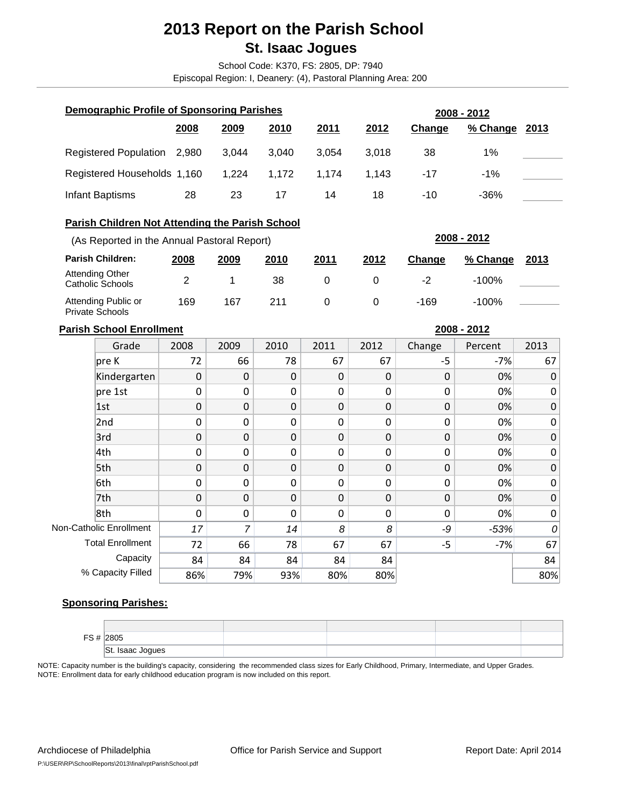# **2013 Report on the Parish School St. Isaac Jogues**

School Code: K370, FS: 2805, DP: 7940

Episcopal Region: I, Deanery: (4), Pastoral Planning Area: 200

| Demographic Profile of Sponsoring Parishes |       |       | 2008 - 2012 |       |       |        |                           |  |
|--------------------------------------------|-------|-------|-------------|-------|-------|--------|---------------------------|--|
|                                            | 2008  | 2009  | 2010        | 2011  | 2012  | Change | % Change<br><u> 2013 </u> |  |
| Registered Population                      | 2.980 | 3.044 | 3.040       | 3.054 | 3.018 | 38     | $1\%$                     |  |
| Registered Households 1,160                |       | 1.224 | 1.172       | 1.174 | 1.143 | $-17$  | $-1\%$                    |  |
| Infant Baptisms                            | 28    | 23    | 17          | 14    | 18    | $-10$  | -36%                      |  |

# **Parish Children Not Attending the Parish School**

| (As Reported in the Annual Pastoral Report)   |      |      | 2008 - 2012 |      |      |        |          |             |
|-----------------------------------------------|------|------|-------------|------|------|--------|----------|-------------|
| <b>Parish Children:</b>                       | 2008 | 2009 | 2010        | 2011 | 2012 | Change | % Change | <u>2013</u> |
| Attending Other<br>Catholic Schools           |      |      | 38          |      |      | -2     | $-100\%$ |             |
| Attending Public or<br><b>Private Schools</b> | 169  | 167  | 211         |      |      | -169   | $-100\%$ |             |

### **Parish School Enrollment**

**2008 - 2012**

| Grade                   | 2008        | 2009             | 2010        | 2011        | 2012        | Change           | Percent | 2013        |
|-------------------------|-------------|------------------|-------------|-------------|-------------|------------------|---------|-------------|
| $ $ pre K               | 72          | 66               | 78          | 67          | 67          | $-5$             | $-7%$   | 67          |
| Kindergarten            | $\mathbf 0$ | $\boldsymbol{0}$ | $\mathbf 0$ | $\mathbf 0$ | $\mathbf 0$ | $\boldsymbol{0}$ | 0%      | $\mathbf 0$ |
| pre 1st                 | $\Omega$    | 0                | $\Omega$    | $\mathbf 0$ | $\mathbf 0$ | $\mathbf 0$      | 0%      | $\mathbf 0$ |
| 1st                     | 0           | $\boldsymbol{0}$ | 0           | $\mathbf 0$ | $\mathbf 0$ | $\boldsymbol{0}$ | 0%      | $\mathbf 0$ |
| 2nd                     | $\Omega$    | 0                | $\Omega$    | 0           | $\Omega$    | 0                | 0%      | $\mathbf 0$ |
| 3rd                     | $\mathbf 0$ | $\mathbf 0$      | $\Omega$    | $\mathbf 0$ | $\mathbf 0$ | $\mathbf 0$      | 0%      | $\mathbf 0$ |
| 4th                     | 0           | 0                | 0           | $\mathbf 0$ | $\mathbf 0$ | 0                | 0%      | $\mathbf 0$ |
| 5th                     | $\mathbf 0$ | $\mathbf 0$      | $\Omega$    | $\mathbf 0$ | $\mathbf 0$ | $\boldsymbol{0}$ | 0%      | $\mathbf 0$ |
| 6th                     | $\Omega$    | 0                | $\Omega$    | $\mathbf 0$ | $\Omega$    | $\mathbf 0$      | 0%      | $\mathbf 0$ |
| 7th                     | $\mathbf 0$ | $\boldsymbol{0}$ | $\mathbf 0$ | $\mathbf 0$ | $\mathbf 0$ | $\boldsymbol{0}$ | 0%      | $\mathbf 0$ |
| 8th                     | $\mathbf 0$ | 0                | $\Omega$    | $\mathbf 0$ | $\mathbf 0$ | $\mathbf 0$      | 0%      | $\mathbf 0$ |
| Non-Catholic Enrollment | 17          | 7                | 14          | 8           | 8           | -9               | $-53%$  | 0           |
| <b>Total Enrollment</b> | 72          | 66               | 78          | 67          | 67          | $-5$             | $-7%$   | 67          |
| Capacity                | 84          | 84               | 84          | 84          | 84          |                  |         | 84          |
| % Capacity Filled       | 86%         | 79%              | 93%         | 80%         | 80%         |                  |         | 80%         |

# **Sponsoring Parishes:**

| $\sim$ | 2805                                                           |  |  |
|--------|----------------------------------------------------------------|--|--|
|        | ISt.<br><b>Isaac</b><br>aac Jogues<br>$\overline{\phantom{a}}$ |  |  |

NOTE: Enrollment data for early childhood education program is now included on this report. NOTE: Capacity number is the building's capacity, considering the recommended class sizes for Early Childhood, Primary, Intermediate, and Upper Grades.